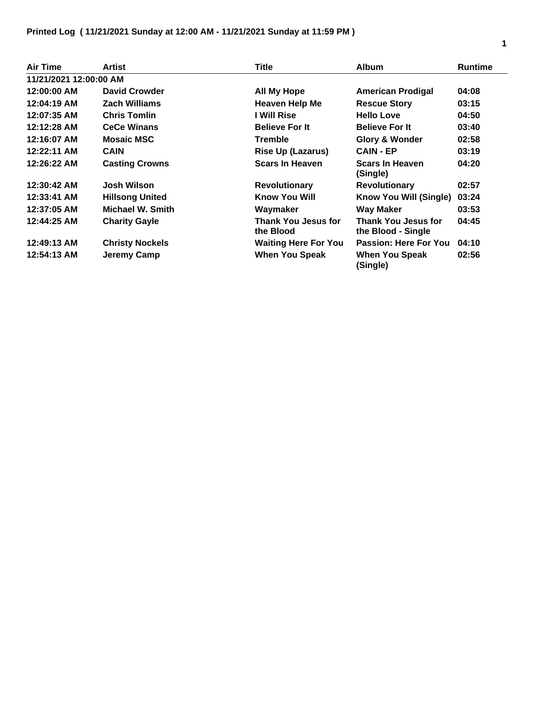| <b>Air Time</b>        | Artist                 | <b>Title</b>                            | <b>Album</b>                              | <b>Runtime</b> |
|------------------------|------------------------|-----------------------------------------|-------------------------------------------|----------------|
| 11/21/2021 12:00:00 AM |                        |                                         |                                           |                |
| 12:00:00 AM            | David Crowder          | <b>All My Hope</b>                      | <b>American Prodigal</b>                  | 04:08          |
| 12:04:19 AM            | <b>Zach Williams</b>   | <b>Heaven Help Me</b>                   | <b>Rescue Story</b>                       | 03:15          |
| 12:07:35 AM            | <b>Chris Tomlin</b>    | I Will Rise                             | <b>Hello Love</b>                         | 04:50          |
| 12:12:28 AM            | <b>CeCe Winans</b>     | <b>Believe For It</b>                   | <b>Believe For It</b>                     | 03:40          |
| 12:16:07 AM            | <b>Mosaic MSC</b>      | <b>Tremble</b>                          | <b>Glory &amp; Wonder</b>                 | 02:58          |
| 12:22:11 AM            | <b>CAIN</b>            | <b>Rise Up (Lazarus)</b>                | <b>CAIN - EP</b>                          | 03:19          |
| 12:26:22 AM            | <b>Casting Crowns</b>  | <b>Scars In Heaven</b>                  | <b>Scars In Heaven</b><br>(Single)        | 04:20          |
| 12:30:42 AM            | <b>Josh Wilson</b>     | <b>Revolutionary</b>                    | <b>Revolutionary</b>                      | 02:57          |
| 12:33:41 AM            | <b>Hillsong United</b> | <b>Know You Will</b>                    | Know You Will (Single)                    | 03:24          |
| 12:37:05 AM            | Michael W. Smith       | Waymaker                                | <b>Way Maker</b>                          | 03:53          |
| 12:44:25 AM            | <b>Charity Gayle</b>   | <b>Thank You Jesus for</b><br>the Blood | Thank You Jesus for<br>the Blood - Single | 04:45          |
| 12:49:13 AM            | <b>Christy Nockels</b> | <b>Waiting Here For You</b>             | Passion: Here For You                     | 04:10          |
| 12:54:13 AM            | Jeremy Camp            | When You Speak                          | When You Speak<br>(Single)                | 02:56          |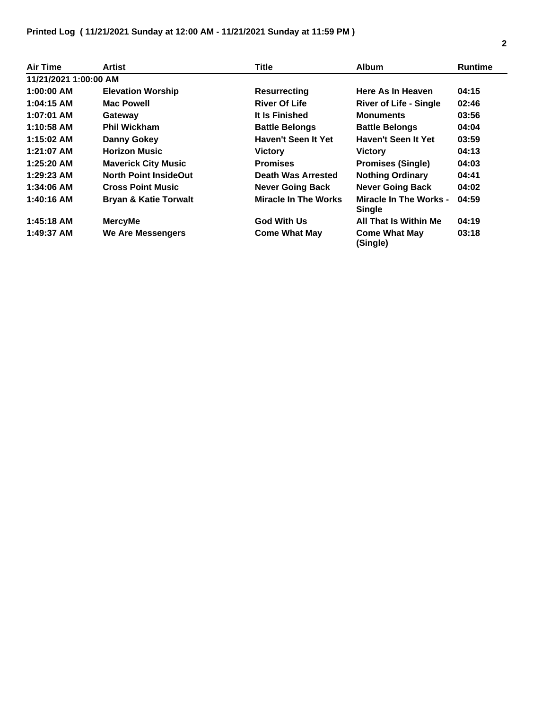| Air Time              | Artist                           | Title                       | <b>Album</b>                            | <b>Runtime</b> |
|-----------------------|----------------------------------|-----------------------------|-----------------------------------------|----------------|
| 11/21/2021 1:00:00 AM |                                  |                             |                                         |                |
| $1:00:00$ AM          | <b>Elevation Worship</b>         | <b>Resurrecting</b>         | Here As In Heaven                       | 04:15          |
| 1:04:15 AM            | <b>Mac Powell</b>                | <b>River Of Life</b>        | <b>River of Life - Single</b>           | 02:46          |
| 1:07:01 AM            | Gateway                          | It Is Finished              | <b>Monuments</b>                        | 03:56          |
| 1:10:58 AM            | <b>Phil Wickham</b>              | <b>Battle Belongs</b>       | <b>Battle Belongs</b>                   | 04:04          |
| 1:15:02 AM            | <b>Danny Gokey</b>               | Haven't Seen It Yet         | Haven't Seen It Yet                     | 03:59          |
| 1:21:07 AM            | <b>Horizon Music</b>             | <b>Victory</b>              | <b>Victory</b>                          | 04:13          |
| $1:25:20$ AM          | <b>Maverick City Music</b>       | <b>Promises</b>             | <b>Promises (Single)</b>                | 04:03          |
| $1:29:23$ AM          | <b>North Point InsideOut</b>     | Death Was Arrested          | <b>Nothing Ordinary</b>                 | 04:41          |
| 1:34:06 AM            | <b>Cross Point Music</b>         | <b>Never Going Back</b>     | <b>Never Going Back</b>                 | 04:02          |
| 1:40:16 AM            | <b>Bryan &amp; Katie Torwalt</b> | <b>Miracle In The Works</b> | Miracle In The Works -<br><b>Single</b> | 04:59          |
| 1:45:18 AM            | <b>MercyMe</b>                   | <b>God With Us</b>          | All That Is Within Me                   | 04:19          |
| 1:49:37 AM            | <b>We Are Messengers</b>         | <b>Come What May</b>        | <b>Come What May</b><br>(Single)        | 03:18          |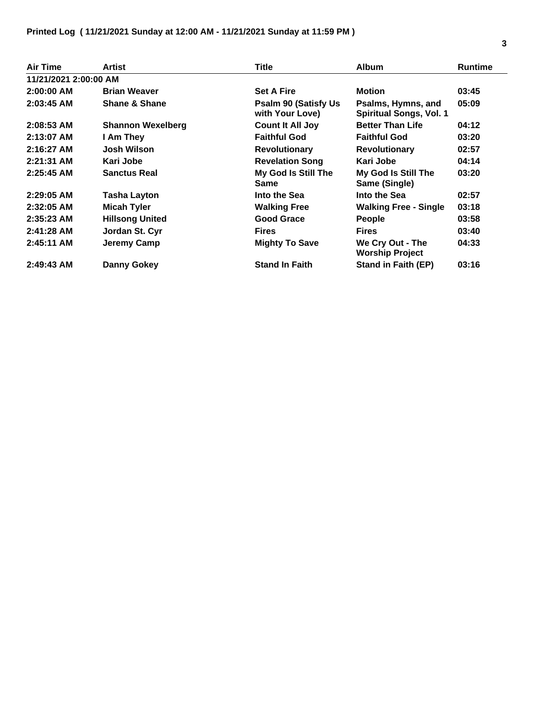| Air Time              | Artist                   | Title                                           | <b>Album</b>                                         | <b>Runtime</b> |
|-----------------------|--------------------------|-------------------------------------------------|------------------------------------------------------|----------------|
| 11/21/2021 2:00:00 AM |                          |                                                 |                                                      |                |
| $2:00:00$ AM          | <b>Brian Weaver</b>      | <b>Set A Fire</b>                               | <b>Motion</b>                                        | 03:45          |
| $2:03:45$ AM          | <b>Shane &amp; Shane</b> | <b>Psalm 90 (Satisfy Us)</b><br>with Your Love) | Psalms, Hymns, and<br><b>Spiritual Songs, Vol. 1</b> | 05:09          |
| $2:08:53$ AM          | <b>Shannon Wexelberg</b> | <b>Count It All Joy</b>                         | <b>Better Than Life</b>                              | 04:12          |
| $2:13:07$ AM          | I Am They                | <b>Faithful God</b>                             | <b>Faithful God</b>                                  | 03:20          |
| $2:16:27$ AM          | <b>Josh Wilson</b>       | <b>Revolutionary</b>                            | <b>Revolutionary</b>                                 | 02:57          |
| $2:21:31$ AM          | Kari Jobe                | <b>Revelation Song</b>                          | Kari Jobe                                            | 04:14          |
| $2:25:45$ AM          | <b>Sanctus Real</b>      | My God Is Still The<br><b>Same</b>              | My God Is Still The<br>Same (Single)                 | 03:20          |
| $2:29:05$ AM          | <b>Tasha Layton</b>      | Into the Sea                                    | Into the Sea                                         | 02:57          |
| $2:32:05$ AM          | <b>Micah Tyler</b>       | <b>Walking Free</b>                             | <b>Walking Free - Single</b>                         | 03:18          |
| $2:35:23$ AM          | <b>Hillsong United</b>   | <b>Good Grace</b>                               | <b>People</b>                                        | 03:58          |
| $2:41:28$ AM          | Jordan St. Cyr           | <b>Fires</b>                                    | <b>Fires</b>                                         | 03:40          |
| $2:45:11$ AM          | Jeremy Camp              | <b>Mighty To Save</b>                           | We Cry Out - The<br><b>Worship Project</b>           | 04:33          |
| $2:49:43$ AM          | Danny Gokey              | <b>Stand In Faith</b>                           | <b>Stand in Faith (EP)</b>                           | 03:16          |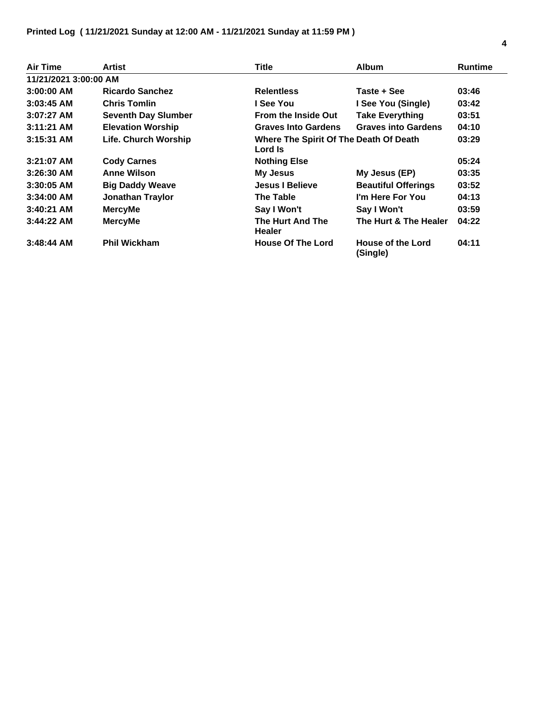| Air Time              | Artist                     | Title                                             | <b>Album</b>                  | <b>Runtime</b> |
|-----------------------|----------------------------|---------------------------------------------------|-------------------------------|----------------|
| 11/21/2021 3:00:00 AM |                            |                                                   |                               |                |
| $3:00:00$ AM          | <b>Ricardo Sanchez</b>     | <b>Relentless</b>                                 | Taste + See                   | 03:46          |
| $3:03:45$ AM          | <b>Chris Tomlin</b>        | I See You                                         | I See You (Single)            | 03:42          |
| $3:07:27$ AM          | <b>Seventh Day Slumber</b> | <b>From the Inside Out</b>                        | <b>Take Everything</b>        | 03:51          |
| $3:11:21$ AM          | <b>Elevation Worship</b>   | <b>Graves Into Gardens</b>                        | <b>Graves into Gardens</b>    | 04:10          |
| $3:15:31$ AM          | Life. Church Worship       | Where The Spirit Of The Death Of Death<br>Lord Is |                               | 03:29          |
| $3:21:07$ AM          | <b>Cody Carnes</b>         | <b>Nothing Else</b>                               |                               | 05:24          |
| $3:26:30$ AM          | <b>Anne Wilson</b>         | <b>My Jesus</b>                                   | My Jesus (EP)                 | 03:35          |
| $3:30:05$ AM          | <b>Big Daddy Weave</b>     | <b>Jesus I Believe</b>                            | <b>Beautiful Offerings</b>    | 03:52          |
| $3:34:00$ AM          | <b>Jonathan Traylor</b>    | The Table                                         | I'm Here For You              | 04:13          |
| $3:40:21$ AM          | <b>MercyMe</b>             | Say I Won't                                       | Say I Won't                   | 03:59          |
| $3:44:22$ AM          | <b>MercyMe</b>             | The Hurt And The<br><b>Healer</b>                 | The Hurt & The Healer         | 04:22          |
| $3:48:44$ AM          | <b>Phil Wickham</b>        | <b>House Of The Lord</b>                          | House of the Lord<br>(Single) | 04:11          |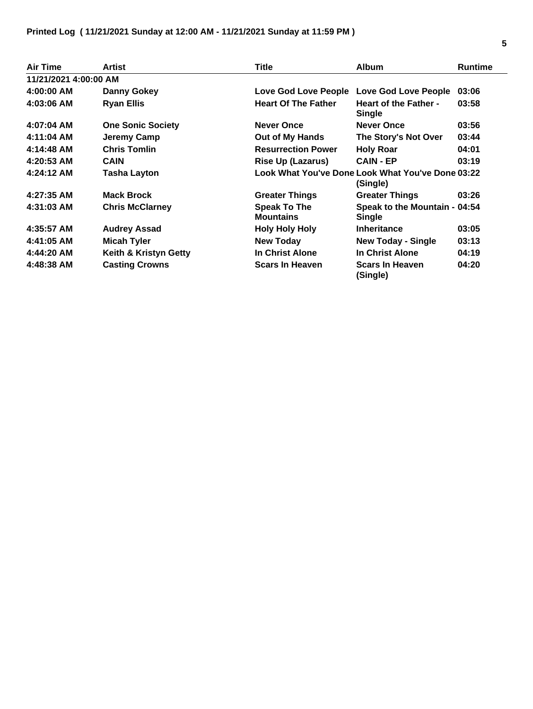| <b>Air Time</b>       | <b>Artist</b>            | <b>Title</b>                            | <b>Album</b>                                                  | <b>Runtime</b> |
|-----------------------|--------------------------|-----------------------------------------|---------------------------------------------------------------|----------------|
| 11/21/2021 4:00:00 AM |                          |                                         |                                                               |                |
| 4:00:00 AM            | Danny Gokey              | Love God Love People                    | Love God Love People                                          | 03:06          |
| 4:03:06 AM            | <b>Ryan Ellis</b>        | <b>Heart Of The Father</b>              | <b>Heart of the Father -</b><br><b>Single</b>                 | 03:58          |
| $4:07:04$ AM          | <b>One Sonic Society</b> | <b>Never Once</b>                       | <b>Never Once</b>                                             | 03:56          |
| 4:11:04 AM            | Jeremy Camp              | Out of My Hands                         | The Story's Not Over                                          | 03:44          |
| 4:14:48 AM            | <b>Chris Tomlin</b>      | <b>Resurrection Power</b>               | <b>Holy Roar</b>                                              | 04:01          |
| $4:20:53$ AM          | <b>CAIN</b>              | <b>Rise Up (Lazarus)</b>                | <b>CAIN - EP</b>                                              | 03:19          |
| 4:24:12 AM            | <b>Tasha Layton</b>      |                                         | Look What You've Done Look What You've Done 03:22<br>(Single) |                |
| 4:27:35 AM            | <b>Mack Brock</b>        | <b>Greater Things</b>                   | <b>Greater Things</b>                                         | 03:26          |
| 4:31:03 AM            | <b>Chris McClarney</b>   | <b>Speak To The</b><br><b>Mountains</b> | Speak to the Mountain - 04:54<br>Single                       |                |
| 4:35:57 AM            | <b>Audrey Assad</b>      | <b>Holy Holy Holy</b>                   | <b>Inheritance</b>                                            | 03:05          |
| 4:41:05 AM            | <b>Micah Tyler</b>       | <b>New Today</b>                        | <b>New Today - Single</b>                                     | 03:13          |
| 4:44:20 AM            | Keith & Kristyn Getty    | In Christ Alone                         | In Christ Alone                                               | 04:19          |
| 4:48:38 AM            | <b>Casting Crowns</b>    | <b>Scars In Heaven</b>                  | <b>Scars In Heaven</b><br>(Single)                            | 04:20          |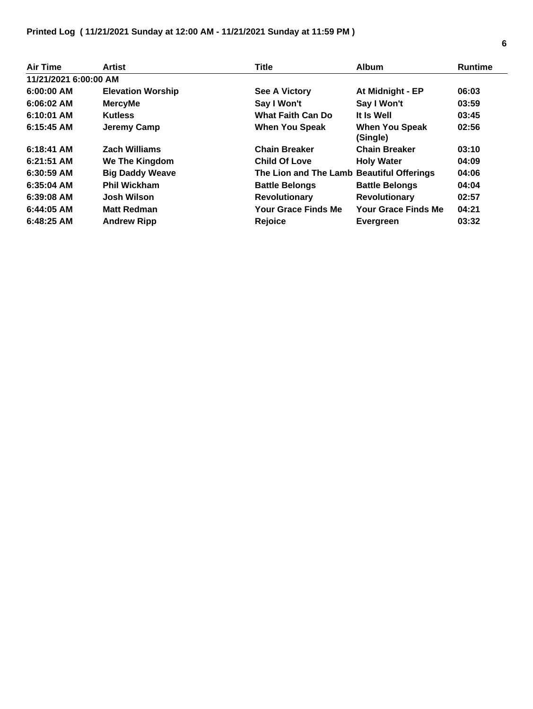| Air Time              | Artist                   | <b>Title</b>                              | <b>Album</b>                      | <b>Runtime</b> |
|-----------------------|--------------------------|-------------------------------------------|-----------------------------------|----------------|
| 11/21/2021 6:00:00 AM |                          |                                           |                                   |                |
| $6:00:00$ AM          | <b>Elevation Worship</b> | See A Victory                             | At Midnight - EP                  | 06:03          |
| $6:06:02$ AM          | <b>MercyMe</b>           | Say I Won't                               | Say I Won't                       | 03:59          |
| 6:10:01 AM            | <b>Kutless</b>           | <b>What Faith Can Do</b>                  | It Is Well                        | 03:45          |
| $6:15:45$ AM          | Jeremy Camp              | <b>When You Speak</b>                     | <b>When You Speak</b><br>(Single) | 02:56          |
| $6:18:41$ AM          | <b>Zach Williams</b>     | <b>Chain Breaker</b>                      | <b>Chain Breaker</b>              | 03:10          |
| 6:21:51 AM            | We The Kingdom           | <b>Child Of Love</b>                      | <b>Holy Water</b>                 | 04:09          |
| $6:30:59$ AM          | <b>Big Daddy Weave</b>   | The Lion and The Lamb Beautiful Offerings |                                   | 04:06          |
| $6:35:04$ AM          | <b>Phil Wickham</b>      | <b>Battle Belongs</b>                     | <b>Battle Belongs</b>             | 04:04          |
| $6:39:08$ AM          | <b>Josh Wilson</b>       | <b>Revolutionary</b>                      | <b>Revolutionary</b>              | 02:57          |
| $6:44:05$ AM          | <b>Matt Redman</b>       | <b>Your Grace Finds Me</b>                | <b>Your Grace Finds Me</b>        | 04:21          |
| $6:48:25$ AM          | <b>Andrew Ripp</b>       | <b>Rejoice</b>                            | <b>Evergreen</b>                  | 03:32          |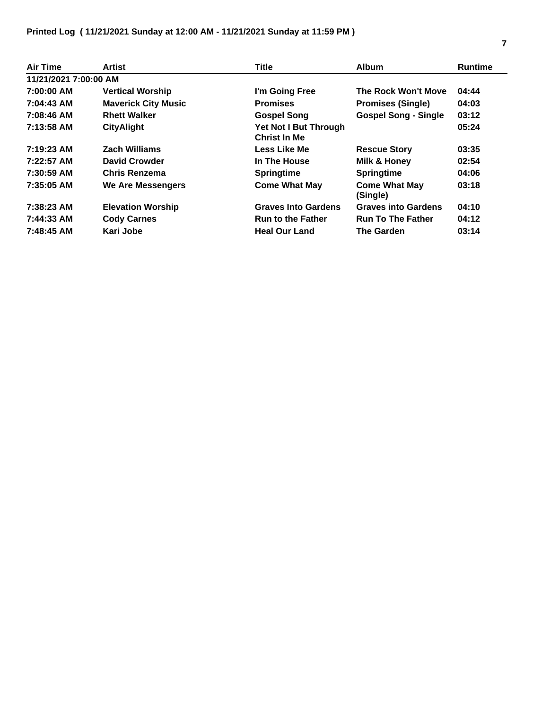| Air Time              | Artist                     | <b>Title</b>                                 | <b>Album</b>                     | <b>Runtime</b> |
|-----------------------|----------------------------|----------------------------------------------|----------------------------------|----------------|
| 11/21/2021 7:00:00 AM |                            |                                              |                                  |                |
| 7:00:00 AM            | <b>Vertical Worship</b>    | I'm Going Free                               | The Rock Won't Move              | 04:44          |
| 7:04:43 AM            | <b>Maverick City Music</b> | <b>Promises</b>                              | <b>Promises (Single)</b>         | 04:03          |
| 7:08:46 AM            | <b>Rhett Walker</b>        | <b>Gospel Song</b>                           | <b>Gospel Song - Single</b>      | 03:12          |
| 7:13:58 AM            | <b>CityAlight</b>          | Yet Not I But Through<br><b>Christ In Me</b> |                                  | 05:24          |
| $7:19:23$ AM          | <b>Zach Williams</b>       | Less Like Me                                 | <b>Rescue Story</b>              | 03:35          |
| 7:22:57 AM            | <b>David Crowder</b>       | In The House                                 | Milk & Honey                     | 02:54          |
| 7:30:59 AM            | Chris Renzema              | <b>Springtime</b>                            | <b>Springtime</b>                | 04:06          |
| 7:35:05 AM            | We Are Messengers          | <b>Come What May</b>                         | <b>Come What May</b><br>(Single) | 03:18          |
| 7:38:23 AM            | <b>Elevation Worship</b>   | <b>Graves Into Gardens</b>                   | <b>Graves into Gardens</b>       | 04:10          |
| 7:44:33 AM            | <b>Cody Carnes</b>         | <b>Run to the Father</b>                     | <b>Run To The Father</b>         | 04:12          |
| 7:48:45 AM            | Kari Jobe                  | <b>Heal Our Land</b>                         | The Garden                       | 03:14          |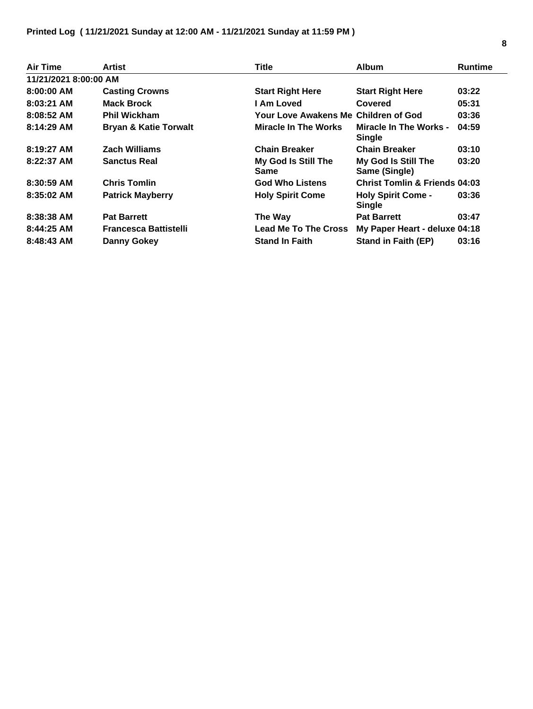| Air Time              | Artist                           | <b>Title</b>                         | <b>Album</b>                                   | <b>Runtime</b> |
|-----------------------|----------------------------------|--------------------------------------|------------------------------------------------|----------------|
| 11/21/2021 8:00:00 AM |                                  |                                      |                                                |                |
| 8:00:00 AM            | <b>Casting Crowns</b>            | <b>Start Right Here</b>              | <b>Start Right Here</b>                        | 03:22          |
| $8:03:21$ AM          | <b>Mack Brock</b>                | I Am Loved                           | Covered                                        | 05:31          |
| $8:08:52$ AM          | <b>Phil Wickham</b>              | Your Love Awakens Me Children of God |                                                | 03:36          |
| 8:14:29 AM            | <b>Bryan &amp; Katie Torwalt</b> | Miracle In The Works                 | <b>Miracle In The Works -</b><br><b>Single</b> | 04:59          |
| $8:19:27$ AM          | <b>Zach Williams</b>             | <b>Chain Breaker</b>                 | <b>Chain Breaker</b>                           | 03:10          |
| $8:22:37$ AM          | <b>Sanctus Real</b>              | My God Is Still The<br><b>Same</b>   | My God Is Still The<br>Same (Single)           | 03:20          |
| $8:30:59$ AM          | <b>Chris Tomlin</b>              | <b>God Who Listens</b>               | <b>Christ Tomlin &amp; Friends 04:03</b>       |                |
| $8:35:02$ AM          | <b>Patrick Mayberry</b>          | <b>Holy Spirit Come</b>              | <b>Holy Spirit Come -</b><br><b>Single</b>     | 03:36          |
| 8:38:38 AM            | <b>Pat Barrett</b>               | The Way                              | <b>Pat Barrett</b>                             | 03:47          |
| 8:44:25 AM            | <b>Francesca Battistelli</b>     | <b>Lead Me To The Cross</b>          | My Paper Heart - deluxe 04:18                  |                |
| $8:48:43$ AM          | Danny Gokey                      | <b>Stand In Faith</b>                | <b>Stand in Faith (EP)</b>                     | 03:16          |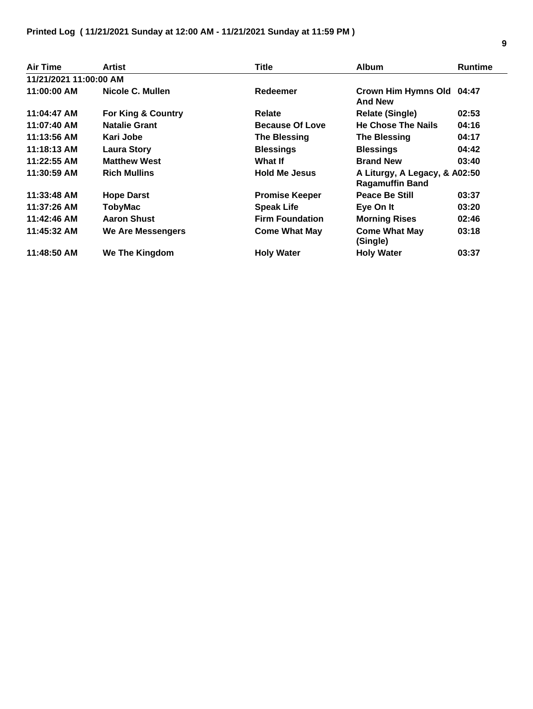| Air Time               | Artist               | Title                  | <b>Album</b>                                            | <b>Runtime</b> |
|------------------------|----------------------|------------------------|---------------------------------------------------------|----------------|
| 11/21/2021 11:00:00 AM |                      |                        |                                                         |                |
| 11:00:00 AM            | Nicole C. Mullen     | Redeemer               | Crown Him Hymns Old 04:47<br><b>And New</b>             |                |
| 11:04:47 AM            | For King & Country   | <b>Relate</b>          | <b>Relate (Single)</b>                                  | 02:53          |
| 11:07:40 AM            | <b>Natalie Grant</b> | <b>Because Of Love</b> | <b>He Chose The Nails</b>                               | 04:16          |
| 11:13:56 AM            | Kari Jobe            | <b>The Blessing</b>    | <b>The Blessing</b>                                     | 04:17          |
| 11:18:13 AM            | <b>Laura Story</b>   | <b>Blessings</b>       | <b>Blessings</b>                                        | 04:42          |
| 11:22:55 AM            | <b>Matthew West</b>  | What If                | <b>Brand New</b>                                        | 03:40          |
| 11:30:59 AM            | <b>Rich Mullins</b>  | <b>Hold Me Jesus</b>   | A Liturgy, A Legacy, & A02:50<br><b>Ragamuffin Band</b> |                |
| 11:33:48 AM            | <b>Hope Darst</b>    | <b>Promise Keeper</b>  | <b>Peace Be Still</b>                                   | 03:37          |
| 11:37:26 AM            | <b>TobyMac</b>       | <b>Speak Life</b>      | Eye On It                                               | 03:20          |
| 11:42:46 AM            | <b>Aaron Shust</b>   | <b>Firm Foundation</b> | <b>Morning Rises</b>                                    | 02:46          |
| 11:45:32 AM            | We Are Messengers    | <b>Come What May</b>   | <b>Come What May</b><br>(Single)                        | 03:18          |
| 11:48:50 AM            | We The Kingdom       | <b>Holy Water</b>      | <b>Holy Water</b>                                       | 03:37          |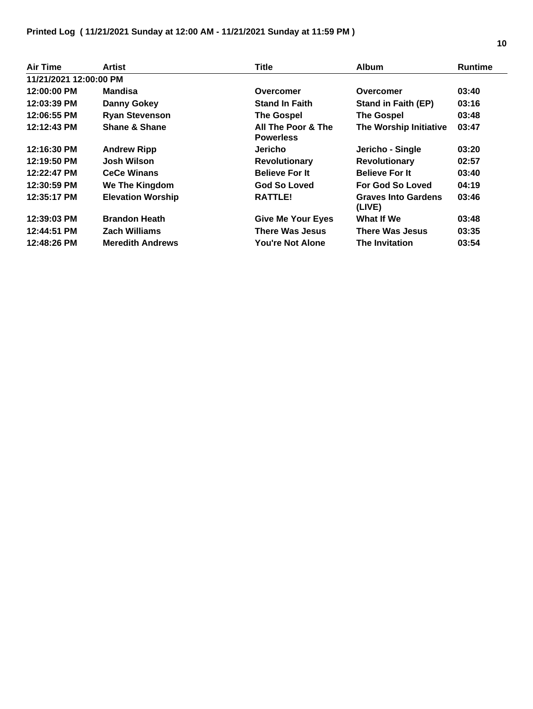## **Printed Log ( 11/21/2021 Sunday at 12:00 AM - 11/21/2021 Sunday at 11:59 PM )**

| <b>Air Time</b>        | Artist                   | <b>Title</b>                           | <b>Album</b>                         | <b>Runtime</b> |
|------------------------|--------------------------|----------------------------------------|--------------------------------------|----------------|
| 11/21/2021 12:00:00 PM |                          |                                        |                                      |                |
| 12:00:00 PM            | Mandisa                  | Overcomer                              | Overcomer                            | 03:40          |
| 12:03:39 PM            | <b>Danny Gokey</b>       | <b>Stand In Faith</b>                  | <b>Stand in Faith (EP)</b>           | 03:16          |
| 12:06:55 PM            | <b>Ryan Stevenson</b>    | <b>The Gospel</b>                      | <b>The Gospel</b>                    | 03:48          |
| 12:12:43 PM            | <b>Shane &amp; Shane</b> | All The Poor & The<br><b>Powerless</b> | The Worship Initiative               | 03:47          |
| 12:16:30 PM            | <b>Andrew Ripp</b>       | Jericho                                | Jericho - Single                     | 03:20          |
| 12:19:50 PM            | <b>Josh Wilson</b>       | <b>Revolutionary</b>                   | <b>Revolutionary</b>                 | 02:57          |
| 12:22:47 PM            | <b>CeCe Winans</b>       | <b>Believe For It</b>                  | <b>Believe For It</b>                | 03:40          |
| 12:30:59 PM            | <b>We The Kingdom</b>    | <b>God So Loved</b>                    | For God So Loved                     | 04:19          |
| 12:35:17 PM            | <b>Elevation Worship</b> | <b>RATTLE!</b>                         | <b>Graves Into Gardens</b><br>(LIVE) | 03:46          |
| 12:39:03 PM            | <b>Brandon Heath</b>     | <b>Give Me Your Eyes</b>               | What If We                           | 03:48          |
| 12:44:51 PM            | <b>Zach Williams</b>     | There Was Jesus                        | <b>There Was Jesus</b>               | 03:35          |
| 12:48:26 PM            | <b>Meredith Andrews</b>  | You're Not Alone                       | <b>The Invitation</b>                | 03:54          |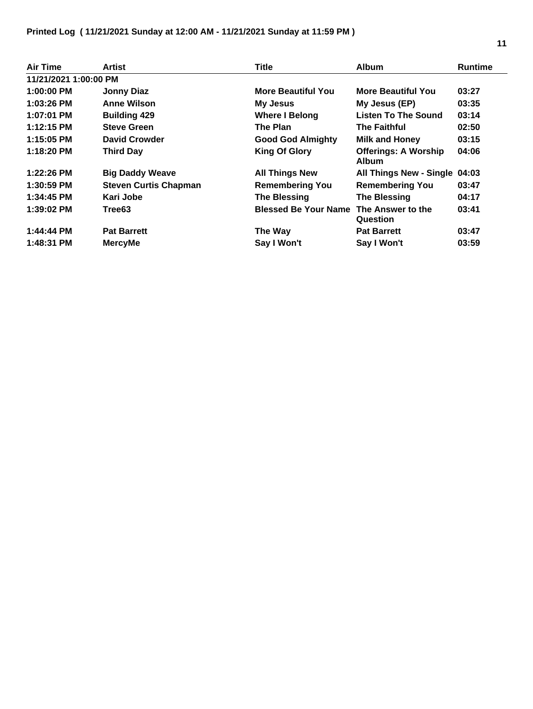| Air Time              | Artist                       | <b>Title</b>                | <b>Album</b>                                | <b>Runtime</b> |
|-----------------------|------------------------------|-----------------------------|---------------------------------------------|----------------|
| 11/21/2021 1:00:00 PM |                              |                             |                                             |                |
| 1:00:00 PM            | <b>Jonny Diaz</b>            | <b>More Beautiful You</b>   | <b>More Beautiful You</b>                   | 03:27          |
| 1:03:26 PM            | <b>Anne Wilson</b>           | <b>My Jesus</b>             | My Jesus (EP)                               | 03:35          |
| 1:07:01 PM            | <b>Building 429</b>          | <b>Where I Belong</b>       | <b>Listen To The Sound</b>                  | 03:14          |
| 1:12:15 PM            | <b>Steve Green</b>           | The Plan                    | The Faithful                                | 02:50          |
| 1:15:05 PM            | <b>David Crowder</b>         | <b>Good God Almighty</b>    | <b>Milk and Honey</b>                       | 03:15          |
| 1:18:20 PM            | <b>Third Day</b>             | <b>King Of Glory</b>        | <b>Offerings: A Worship</b><br><b>Album</b> | 04:06          |
| 1:22:26 PM            | <b>Big Daddy Weave</b>       | <b>All Things New</b>       | All Things New - Single 04:03               |                |
| 1:30:59 PM            | <b>Steven Curtis Chapman</b> | <b>Remembering You</b>      | <b>Remembering You</b>                      | 03:47          |
| 1:34:45 PM            | Kari Jobe                    | <b>The Blessing</b>         | <b>The Blessing</b>                         | 04:17          |
| 1:39:02 PM            | Tree63                       | <b>Blessed Be Your Name</b> | The Answer to the<br>Question               | 03:41          |
| 1:44:44 PM            | <b>Pat Barrett</b>           | The Way                     | <b>Pat Barrett</b>                          | 03:47          |
| 1:48:31 PM            | <b>MercyMe</b>               | Say I Won't                 | Say I Won't                                 | 03:59          |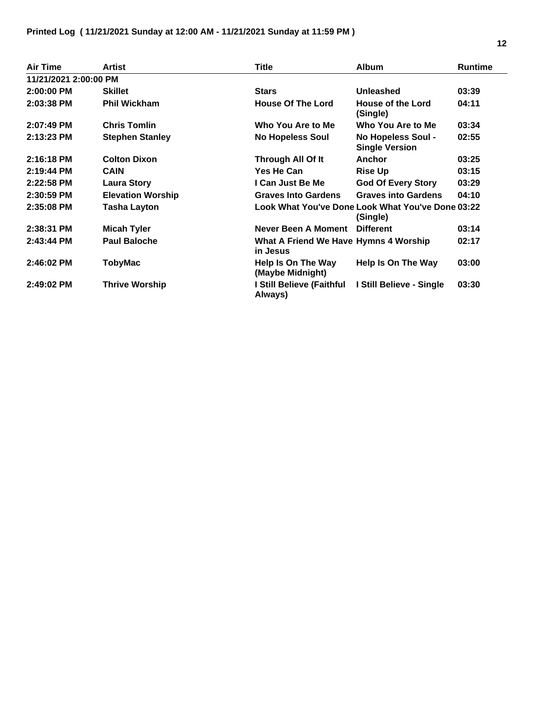| Air Time              | <b>Artist</b>            | Title                                             | <b>Album</b>                                       | <b>Runtime</b> |
|-----------------------|--------------------------|---------------------------------------------------|----------------------------------------------------|----------------|
| 11/21/2021 2:00:00 PM |                          |                                                   |                                                    |                |
| 2:00:00 PM            | <b>Skillet</b>           | <b>Stars</b>                                      | Unleashed                                          | 03:39          |
| 2:03:38 PM            | <b>Phil Wickham</b>      | <b>House Of The Lord</b>                          | House of the Lord<br>(Single)                      | 04:11          |
| 2:07:49 PM            | <b>Chris Tomlin</b>      | Who You Are to Me                                 | Who You Are to Me                                  | 03:34          |
| 2:13:23 PM            | <b>Stephen Stanley</b>   | <b>No Hopeless Soul</b>                           | <b>No Hopeless Soul -</b><br><b>Single Version</b> | 02:55          |
| 2:16:18 PM            | <b>Colton Dixon</b>      | Through All Of It                                 | Anchor                                             | 03:25          |
| 2:19:44 PM            | <b>CAIN</b>              | Yes He Can                                        | <b>Rise Up</b>                                     | 03:15          |
| 2:22:58 PM            | <b>Laura Story</b>       | I Can Just Be Me                                  | <b>God Of Every Story</b>                          | 03:29          |
| $2:30:59$ PM          | <b>Elevation Worship</b> | <b>Graves Into Gardens</b>                        | <b>Graves into Gardens</b>                         | 04:10          |
| 2:35:08 PM            | <b>Tasha Layton</b>      | Look What You've Done Look What You've Done 03:22 | (Single)                                           |                |
| 2:38:31 PM            | <b>Micah Tyler</b>       | <b>Never Been A Moment</b>                        | <b>Different</b>                                   | 03:14          |
| $2:43:44$ PM          | <b>Paul Baloche</b>      | What A Friend We Have Hymns 4 Worship<br>in Jesus |                                                    | 02:17          |
| 2:46:02 PM            | TobyMac                  | Help Is On The Way<br>(Maybe Midnight)            | Help Is On The Way                                 | 03:00          |
| 2:49:02 PM            | <b>Thrive Worship</b>    | I Still Believe (Faithful<br>Always)              | I Still Believe - Single                           | 03:30          |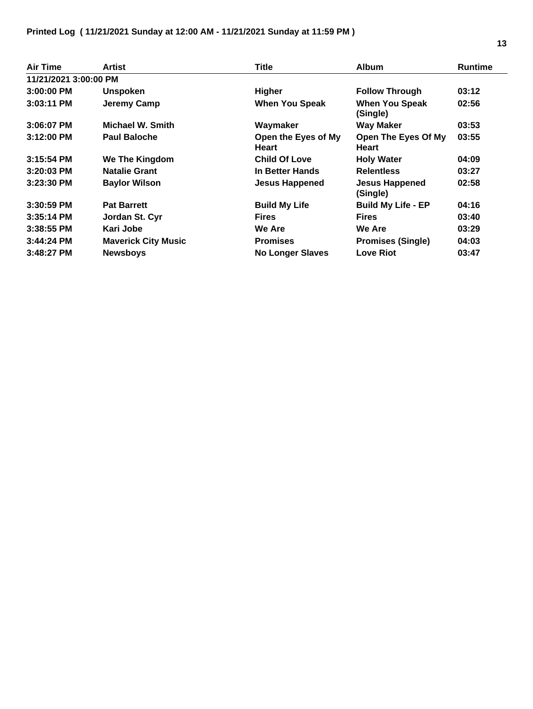| <b>Air Time</b>       | Artist                     | Title                        | <b>Album</b>                        | <b>Runtime</b> |
|-----------------------|----------------------------|------------------------------|-------------------------------------|----------------|
| 11/21/2021 3:00:00 PM |                            |                              |                                     |                |
| $3:00:00$ PM          | <b>Unspoken</b>            | Higher                       | <b>Follow Through</b>               | 03:12          |
| $3:03:11$ PM          | Jeremy Camp                | <b>When You Speak</b>        | <b>When You Speak</b><br>(Single)   | 02:56          |
| 3:06:07 PM            | <b>Michael W. Smith</b>    | Waymaker                     | <b>Way Maker</b>                    | 03:53          |
| $3:12:00$ PM          | <b>Paul Baloche</b>        | Open the Eyes of My<br>Heart | Open The Eyes Of My<br><b>Heart</b> | 03:55          |
| $3:15:54$ PM          | <b>We The Kingdom</b>      | <b>Child Of Love</b>         | <b>Holy Water</b>                   | 04:09          |
| $3:20:03$ PM          | <b>Natalie Grant</b>       | In Better Hands              | <b>Relentless</b>                   | 03:27          |
| $3:23:30$ PM          | <b>Baylor Wilson</b>       | <b>Jesus Happened</b>        | <b>Jesus Happened</b><br>(Single)   | 02:58          |
| $3:30:59$ PM          | <b>Pat Barrett</b>         | <b>Build My Life</b>         | <b>Build My Life - EP</b>           | 04:16          |
| $3:35:14$ PM          | Jordan St. Cyr             | <b>Fires</b>                 | <b>Fires</b>                        | 03:40          |
| 3:38:55 PM            | Kari Jobe                  | <b>We Are</b>                | <b>We Are</b>                       | 03:29          |
| $3:44:24$ PM          | <b>Maverick City Music</b> | <b>Promises</b>              | <b>Promises (Single)</b>            | 04:03          |
| $3:48:27$ PM          | <b>Newsboys</b>            | <b>No Longer Slaves</b>      | <b>Love Riot</b>                    | 03:47          |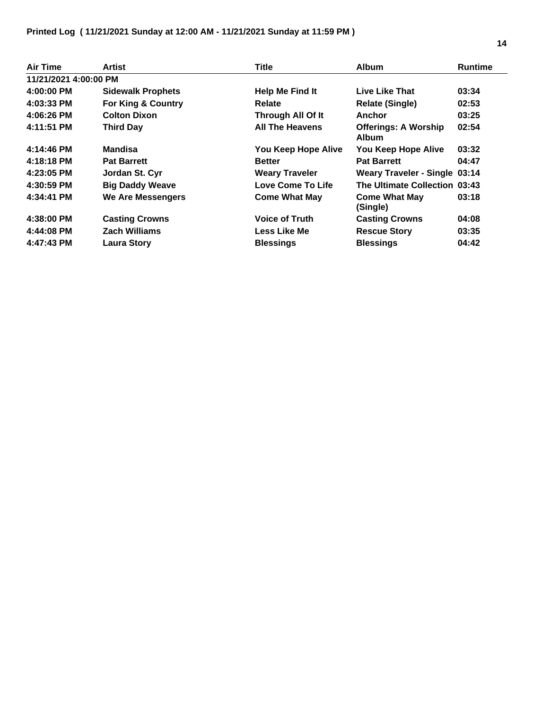| Air Time              | Artist                        | Title                  | <b>Album</b>                                | <b>Runtime</b> |
|-----------------------|-------------------------------|------------------------|---------------------------------------------|----------------|
| 11/21/2021 4:00:00 PM |                               |                        |                                             |                |
| 4:00:00 PM            | <b>Sidewalk Prophets</b>      | <b>Help Me Find It</b> | Live Like That                              | 03:34          |
| 4:03:33 PM            | <b>For King &amp; Country</b> | <b>Relate</b>          | <b>Relate (Single)</b>                      | 02:53          |
| 4:06:26 PM            | <b>Colton Dixon</b>           | Through All Of It      | Anchor                                      | 03:25          |
| 4:11:51 PM            | <b>Third Day</b>              | <b>All The Heavens</b> | <b>Offerings: A Worship</b><br><b>Album</b> | 02:54          |
| 4:14:46 PM            | Mandisa                       | You Keep Hope Alive    | You Keep Hope Alive                         | 03:32          |
| 4:18:18 PM            | <b>Pat Barrett</b>            | <b>Better</b>          | <b>Pat Barrett</b>                          | 04:47          |
| 4:23:05 PM            | Jordan St. Cyr                | <b>Weary Traveler</b>  | <b>Weary Traveler - Single 03:14</b>        |                |
| 4:30:59 PM            | <b>Big Daddy Weave</b>        | Love Come To Life      | The Ultimate Collection 03:43               |                |
| 4:34:41 PM            | We Are Messengers             | <b>Come What May</b>   | <b>Come What May</b><br>(Single)            | 03:18          |
| 4:38:00 PM            | <b>Casting Crowns</b>         | <b>Voice of Truth</b>  | <b>Casting Crowns</b>                       | 04:08          |
| 4:44:08 PM            | <b>Zach Williams</b>          | <b>Less Like Me</b>    | <b>Rescue Story</b>                         | 03:35          |
| 4:47:43 PM            | <b>Laura Story</b>            | <b>Blessings</b>       | <b>Blessings</b>                            | 04:42          |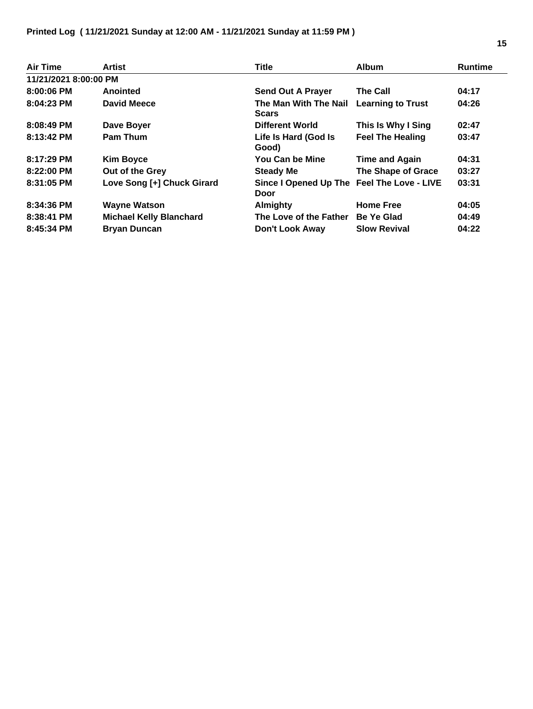| <b>Air Time</b>       | <b>Artist</b>                  | <b>Title</b>                                       | <b>Album</b>              | <b>Runtime</b> |
|-----------------------|--------------------------------|----------------------------------------------------|---------------------------|----------------|
| 11/21/2021 8:00:00 PM |                                |                                                    |                           |                |
| 8:00:06 PM            | Anointed                       | <b>Send Out A Prayer</b>                           | <b>The Call</b>           | 04:17          |
| 8:04:23 PM            | <b>David Meece</b>             | The Man With The Nail<br><b>Scars</b>              | <b>Learning to Trust</b>  | 04:26          |
| 8:08:49 PM            | Dave Boyer                     | <b>Different World</b>                             | This Is Why I Sing        | 02:47          |
| 8:13:42 PM            | <b>Pam Thum</b>                | Life Is Hard (God Is<br>Good)                      | <b>Feel The Healing</b>   | 03:47          |
| 8:17:29 PM            | <b>Kim Boyce</b>               | You Can be Mine                                    | <b>Time and Again</b>     | 04:31          |
| 8:22:00 PM            | Out of the Grey                | <b>Steady Me</b>                                   | <b>The Shape of Grace</b> | 03:27          |
| 8:31:05 PM            | Love Song [+] Chuck Girard     | Since I Opened Up The Feel The Love - LIVE<br>Door |                           | 03:31          |
| 8:34:36 PM            | <b>Wayne Watson</b>            | Almighty                                           | <b>Home Free</b>          | 04:05          |
| 8:38:41 PM            | <b>Michael Kelly Blanchard</b> | The Love of the Father                             | Be Ye Glad                | 04:49          |
| 8:45:34 PM            | <b>Bryan Duncan</b>            | Don't Look Away                                    | <b>Slow Revival</b>       | 04:22          |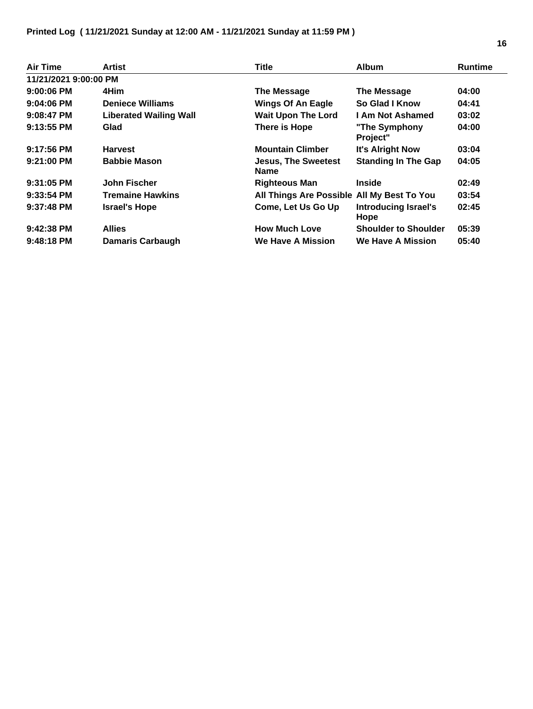| Air Time              | Artist                        | <b>Title</b>                               | <b>Album</b>                        | <b>Runtime</b> |
|-----------------------|-------------------------------|--------------------------------------------|-------------------------------------|----------------|
| 11/21/2021 9:00:00 PM |                               |                                            |                                     |                |
| $9:00:06$ PM          | 4Him                          | <b>The Message</b>                         | The Message                         | 04:00          |
| $9:04:06$ PM          | <b>Deniece Williams</b>       | <b>Wings Of An Eagle</b>                   | So Glad I Know                      | 04:41          |
| 9:08:47 PM            | <b>Liberated Wailing Wall</b> | <b>Wait Upon The Lord</b>                  | <b>I Am Not Ashamed</b>             | 03:02          |
| 9:13:55 PM            | Glad                          | There is Hope                              | "The Symphony<br>Project"           | 04:00          |
| $9:17:56$ PM          | <b>Harvest</b>                | <b>Mountain Climber</b>                    | <b>It's Alright Now</b>             | 03:04          |
| 9:21:00 PM            | <b>Babbie Mason</b>           | <b>Jesus, The Sweetest</b><br><b>Name</b>  | <b>Standing In The Gap</b>          | 04:05          |
| $9:31:05$ PM          | John Fischer                  | <b>Righteous Man</b>                       | <b>Inside</b>                       | 02:49          |
| $9:33:54$ PM          | <b>Tremaine Hawkins</b>       | All Things Are Possible All My Best To You |                                     | 03:54          |
| $9:37:48$ PM          | <b>Israel's Hope</b>          | Come, Let Us Go Up                         | <b>Introducing Israel's</b><br>Hope | 02:45          |
| 9:42:38 PM            | <b>Allies</b>                 | <b>How Much Love</b>                       | <b>Shoulder to Shoulder</b>         | 05:39          |
| $9:48:18$ PM          | <b>Damaris Carbaugh</b>       | <b>We Have A Mission</b>                   | <b>We Have A Mission</b>            | 05:40          |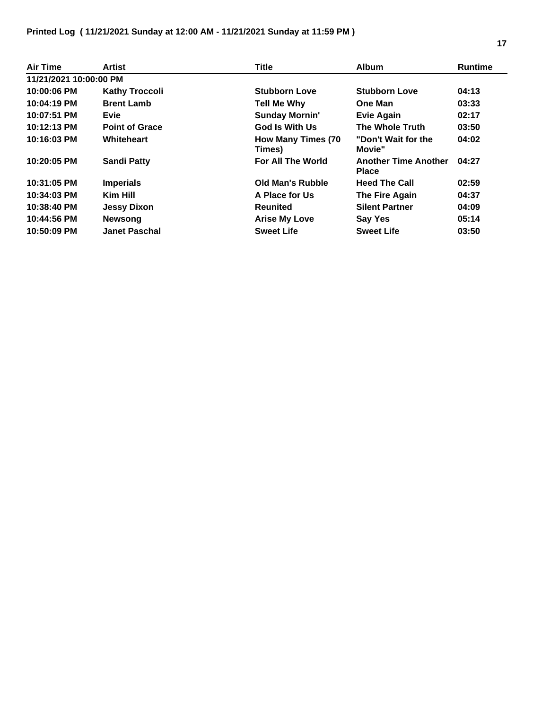| Air Time               | Artist                | <b>Title</b>                         | <b>Album</b>                                | <b>Runtime</b> |
|------------------------|-----------------------|--------------------------------------|---------------------------------------------|----------------|
| 11/21/2021 10:00:00 PM |                       |                                      |                                             |                |
| 10:00:06 PM            | <b>Kathy Troccoli</b> | <b>Stubborn Love</b>                 | <b>Stubborn Love</b>                        | 04:13          |
| 10:04:19 PM            | <b>Brent Lamb</b>     | Tell Me Why                          | <b>One Man</b>                              | 03:33          |
| 10:07:51 PM            | <b>Evie</b>           | <b>Sunday Mornin'</b>                | <b>Evie Again</b>                           | 02:17          |
| 10:12:13 PM            | <b>Point of Grace</b> | <b>God Is With Us</b>                | <b>The Whole Truth</b>                      | 03:50          |
| 10:16:03 PM            | Whiteheart            | <b>How Many Times (70)</b><br>Times) | "Don't Wait for the<br>Movie"               | 04:02          |
| 10:20:05 PM            | <b>Sandi Patty</b>    | <b>For All The World</b>             | <b>Another Time Another</b><br><b>Place</b> | 04:27          |
| 10:31:05 PM            | <b>Imperials</b>      | Old Man's Rubble                     | <b>Heed The Call</b>                        | 02:59          |
| 10:34:03 PM            | Kim Hill              | A Place for Us                       | The Fire Again                              | 04:37          |
| 10:38:40 PM            | <b>Jessy Dixon</b>    | <b>Reunited</b>                      | <b>Silent Partner</b>                       | 04:09          |
| 10:44:56 PM            | <b>Newsong</b>        | <b>Arise My Love</b>                 | Say Yes                                     | 05:14          |
| 10:50:09 PM            | <b>Janet Paschal</b>  | <b>Sweet Life</b>                    | <b>Sweet Life</b>                           | 03:50          |